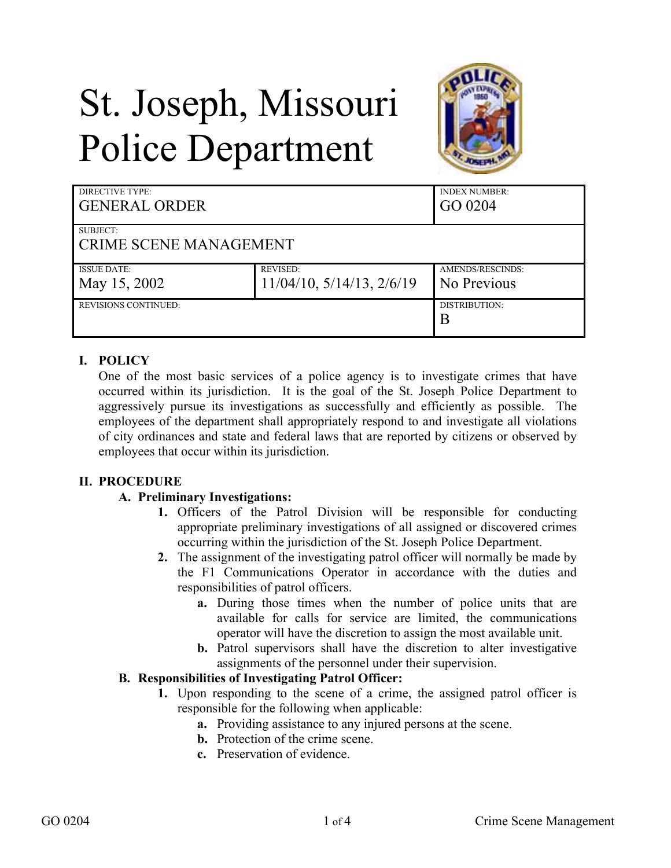# St. Joseph, Missouri Police Department



| <b>DIRECTIVE TYPE:</b><br><b>GENERAL ORDER</b> |                                   | <b>INDEX NUMBER:</b><br>GO 0204 |
|------------------------------------------------|-----------------------------------|---------------------------------|
| SUBJECT:                                       |                                   |                                 |
| <b>CRIME SCENE MANAGEMENT</b>                  |                                   |                                 |
| <b>ISSUE DATE:</b>                             | <b>REVISED:</b>                   | AMENDS/RESCINDS:                |
| May 15, 2002                                   | $11/04/10$ , $5/14/13$ , $2/6/19$ | No Previous                     |
| <b>REVISIONS CONTINUED:</b>                    |                                   | DISTRIBUTION:                   |
|                                                |                                   | B                               |

# **I. POLICY**

One of the most basic services of a police agency is to investigate crimes that have occurred within its jurisdiction. It is the goal of the St. Joseph Police Department to aggressively pursue its investigations as successfully and efficiently as possible. The employees of the department shall appropriately respond to and investigate all violations of city ordinances and state and federal laws that are reported by citizens or observed by employees that occur within its jurisdiction.

### **II. PROCEDURE**

### **A. Preliminary Investigations:**

- **1.** Officers of the Patrol Division will be responsible for conducting appropriate preliminary investigations of all assigned or discovered crimes occurring within the jurisdiction of the St. Joseph Police Department.
- **2.** The assignment of the investigating patrol officer will normally be made by the F1 Communications Operator in accordance with the duties and responsibilities of patrol officers.
	- **a.** During those times when the number of police units that are available for calls for service are limited, the communications operator will have the discretion to assign the most available unit.
	- **b.** Patrol supervisors shall have the discretion to alter investigative assignments of the personnel under their supervision.

### **B. Responsibilities of Investigating Patrol Officer:**

- **1.** Upon responding to the scene of a crime, the assigned patrol officer is responsible for the following when applicable:
	- **a.** Providing assistance to any injured persons at the scene.
	- **b.** Protection of the crime scene.
	- **c.** Preservation of evidence.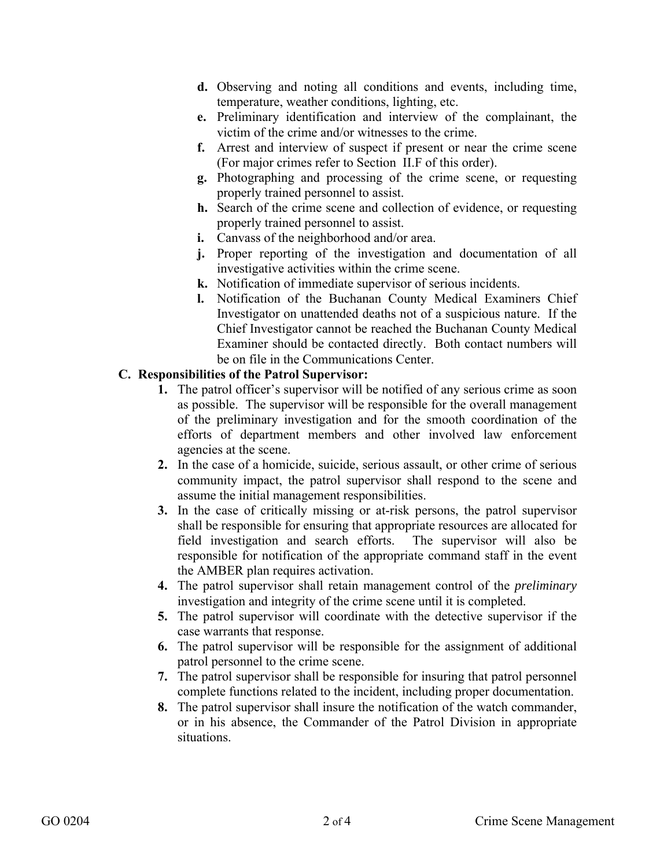- **d.** Observing and noting all conditions and events, including time, temperature, weather conditions, lighting, etc.
- **e.** Preliminary identification and interview of the complainant, the victim of the crime and/or witnesses to the crime.
- **f.** Arrest and interview of suspect if present or near the crime scene (For major crimes refer to Section II.F of this order).
- **g.** Photographing and processing of the crime scene, or requesting properly trained personnel to assist.
- **h.** Search of the crime scene and collection of evidence, or requesting properly trained personnel to assist.
- **i.** Canvass of the neighborhood and/or area.
- **j.** Proper reporting of the investigation and documentation of all investigative activities within the crime scene.
- **k.** Notification of immediate supervisor of serious incidents.
- **l.** Notification of the Buchanan County Medical Examiners Chief Investigator on unattended deaths not of a suspicious nature. If the Chief Investigator cannot be reached the Buchanan County Medical Examiner should be contacted directly. Both contact numbers will be on file in the Communications Center.

## **C. Responsibilities of the Patrol Supervisor:**

- **1.** The patrol officer's supervisor will be notified of any serious crime as soon as possible. The supervisor will be responsible for the overall management of the preliminary investigation and for the smooth coordination of the efforts of department members and other involved law enforcement agencies at the scene.
- **2.** In the case of a homicide, suicide, serious assault, or other crime of serious community impact, the patrol supervisor shall respond to the scene and assume the initial management responsibilities.
- **3.** In the case of critically missing or at-risk persons, the patrol supervisor shall be responsible for ensuring that appropriate resources are allocated for field investigation and search efforts. The supervisor will also be responsible for notification of the appropriate command staff in the event the AMBER plan requires activation.
- **4.** The patrol supervisor shall retain management control of the *preliminary* investigation and integrity of the crime scene until it is completed.
- **5.** The patrol supervisor will coordinate with the detective supervisor if the case warrants that response.
- **6.** The patrol supervisor will be responsible for the assignment of additional patrol personnel to the crime scene.
- **7.** The patrol supervisor shall be responsible for insuring that patrol personnel complete functions related to the incident, including proper documentation.
- **8.** The patrol supervisor shall insure the notification of the watch commander, or in his absence, the Commander of the Patrol Division in appropriate situations.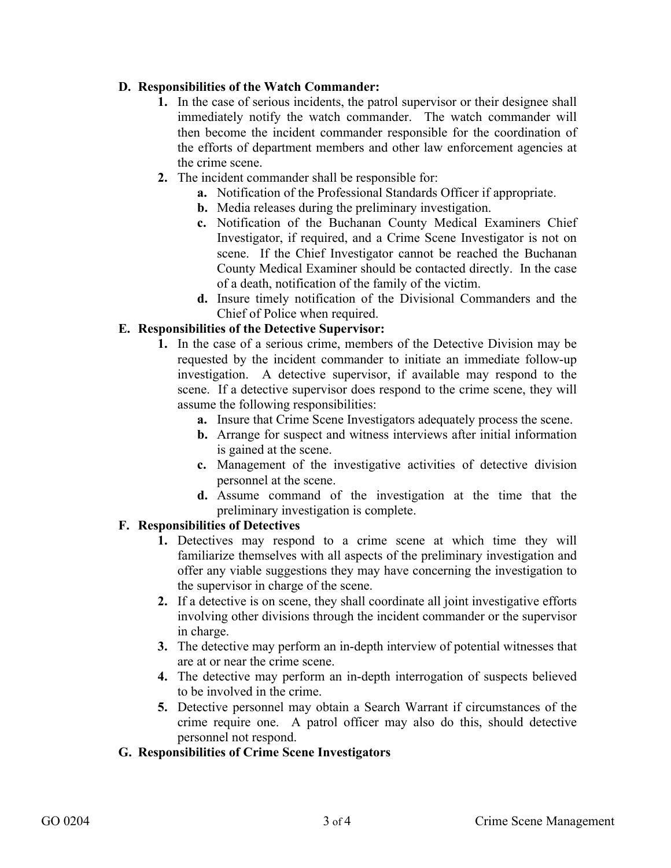# **D. Responsibilities of the Watch Commander:**

- **1.** In the case of serious incidents, the patrol supervisor or their designee shall immediately notify the watch commander. The watch commander will then become the incident commander responsible for the coordination of the efforts of department members and other law enforcement agencies at the crime scene.
- **2.** The incident commander shall be responsible for:
	- **a.** Notification of the Professional Standards Officer if appropriate.
	- **b.** Media releases during the preliminary investigation.
	- **c.** Notification of the Buchanan County Medical Examiners Chief Investigator, if required, and a Crime Scene Investigator is not on scene. If the Chief Investigator cannot be reached the Buchanan County Medical Examiner should be contacted directly. In the case of a death, notification of the family of the victim.
	- **d.** Insure timely notification of the Divisional Commanders and the Chief of Police when required.

# **E. Responsibilities of the Detective Supervisor:**

- **1.** In the case of a serious crime, members of the Detective Division may be requested by the incident commander to initiate an immediate follow-up investigation. A detective supervisor, if available may respond to the scene. If a detective supervisor does respond to the crime scene, they will assume the following responsibilities:
	- **a.** Insure that Crime Scene Investigators adequately process the scene.
	- **b.** Arrange for suspect and witness interviews after initial information is gained at the scene.
	- **c.** Management of the investigative activities of detective division personnel at the scene.
	- **d.** Assume command of the investigation at the time that the preliminary investigation is complete.

# **F. Responsibilities of Detectives**

- **1.** Detectives may respond to a crime scene at which time they will familiarize themselves with all aspects of the preliminary investigation and offer any viable suggestions they may have concerning the investigation to the supervisor in charge of the scene.
- **2.** If a detective is on scene, they shall coordinate all joint investigative efforts involving other divisions through the incident commander or the supervisor in charge.
- **3.** The detective may perform an in-depth interview of potential witnesses that are at or near the crime scene.
- **4.** The detective may perform an in-depth interrogation of suspects believed to be involved in the crime.
- **5.** Detective personnel may obtain a Search Warrant if circumstances of the crime require one. A patrol officer may also do this, should detective personnel not respond.

## **G. Responsibilities of Crime Scene Investigators**